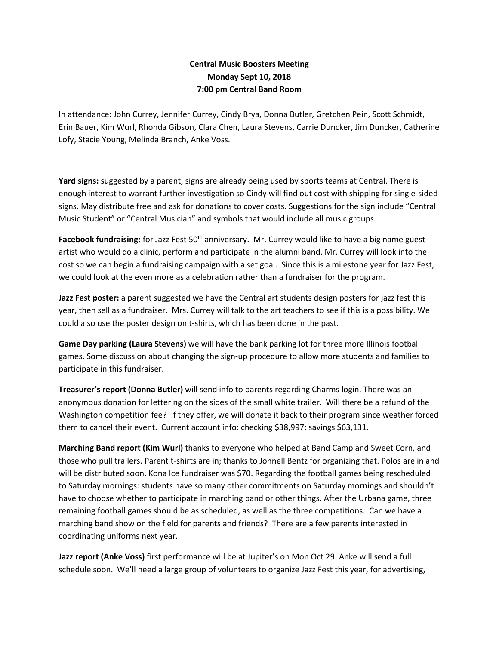## **Central Music Boosters Meeting Monday Sept 10, 2018 7:00 pm Central Band Room**

In attendance: John Currey, Jennifer Currey, Cindy Brya, Donna Butler, Gretchen Pein, Scott Schmidt, Erin Bauer, Kim Wurl, Rhonda Gibson, Clara Chen, Laura Stevens, Carrie Duncker, Jim Duncker, Catherine Lofy, Stacie Young, Melinda Branch, Anke Voss.

**Yard signs:** suggested by a parent, signs are already being used by sports teams at Central. There is enough interest to warrant further investigation so Cindy will find out cost with shipping for single-sided signs. May distribute free and ask for donations to cover costs. Suggestions for the sign include "Central Music Student" or "Central Musician" and symbols that would include all music groups.

**Facebook fundraising:** for Jazz Fest 50th anniversary. Mr. Currey would like to have a big name guest artist who would do a clinic, perform and participate in the alumni band. Mr. Currey will look into the cost so we can begin a fundraising campaign with a set goal. Since this is a milestone year for Jazz Fest, we could look at the even more as a celebration rather than a fundraiser for the program.

**Jazz Fest poster:** a parent suggested we have the Central art students design posters for jazz fest this year, then sell as a fundraiser. Mrs. Currey will talk to the art teachers to see if this is a possibility. We could also use the poster design on t-shirts, which has been done in the past.

**Game Day parking (Laura Stevens)** we will have the bank parking lot for three more Illinois football games. Some discussion about changing the sign-up procedure to allow more students and families to participate in this fundraiser.

**Treasurer's report (Donna Butler)** will send info to parents regarding Charms login. There was an anonymous donation for lettering on the sides of the small white trailer. Will there be a refund of the Washington competition fee? If they offer, we will donate it back to their program since weather forced them to cancel their event. Current account info: checking \$38,997; savings \$63,131.

**Marching Band report (Kim Wurl)** thanks to everyone who helped at Band Camp and Sweet Corn, and those who pull trailers. Parent t-shirts are in; thanks to Johnell Bentz for organizing that. Polos are in and will be distributed soon. Kona Ice fundraiser was \$70. Regarding the football games being rescheduled to Saturday mornings: students have so many other commitments on Saturday mornings and shouldn't have to choose whether to participate in marching band or other things. After the Urbana game, three remaining football games should be as scheduled, as well as the three competitions. Can we have a marching band show on the field for parents and friends? There are a few parents interested in coordinating uniforms next year.

**Jazz report (Anke Voss)** first performance will be at Jupiter's on Mon Oct 29. Anke will send a full schedule soon. We'll need a large group of volunteers to organize Jazz Fest this year, for advertising,